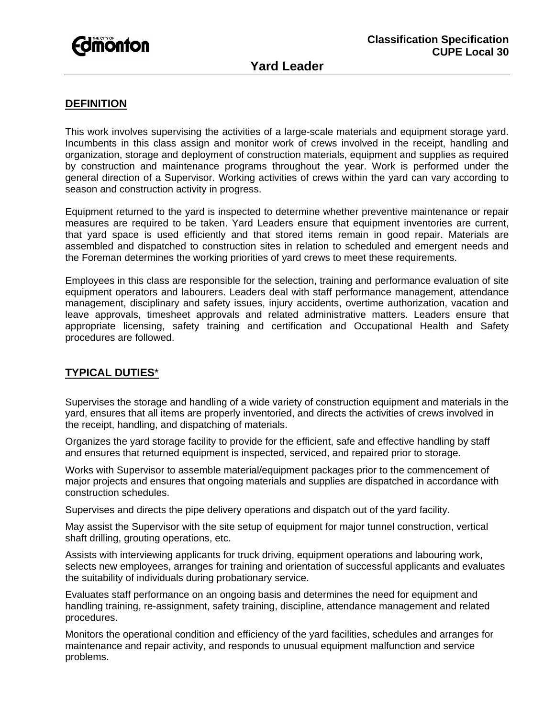

## **DEFINITION**

This work involves supervising the activities of a large-scale materials and equipment storage yard. Incumbents in this class assign and monitor work of crews involved in the receipt, handling and organization, storage and deployment of construction materials, equipment and supplies as required by construction and maintenance programs throughout the year. Work is performed under the general direction of a Supervisor. Working activities of crews within the yard can vary according to season and construction activity in progress.

Equipment returned to the yard is inspected to determine whether preventive maintenance or repair measures are required to be taken. Yard Leaders ensure that equipment inventories are current, that yard space is used efficiently and that stored items remain in good repair. Materials are assembled and dispatched to construction sites in relation to scheduled and emergent needs and the Foreman determines the working priorities of yard crews to meet these requirements.

Employees in this class are responsible for the selection, training and performance evaluation of site equipment operators and labourers. Leaders deal with staff performance management, attendance management, disciplinary and safety issues, injury accidents, overtime authorization, vacation and leave approvals, timesheet approvals and related administrative matters. Leaders ensure that appropriate licensing, safety training and certification and Occupational Health and Safety procedures are followed.

## **TYPICAL DUTIES**\*

Supervises the storage and handling of a wide variety of construction equipment and materials in the yard, ensures that all items are properly inventoried, and directs the activities of crews involved in the receipt, handling, and dispatching of materials.

Organizes the yard storage facility to provide for the efficient, safe and effective handling by staff and ensures that returned equipment is inspected, serviced, and repaired prior to storage.

Works with Supervisor to assemble material/equipment packages prior to the commencement of major projects and ensures that ongoing materials and supplies are dispatched in accordance with construction schedules.

Supervises and directs the pipe delivery operations and dispatch out of the yard facility.

May assist the Supervisor with the site setup of equipment for major tunnel construction, vertical shaft drilling, grouting operations, etc.

Assists with interviewing applicants for truck driving, equipment operations and labouring work, selects new employees, arranges for training and orientation of successful applicants and evaluates the suitability of individuals during probationary service.

Evaluates staff performance on an ongoing basis and determines the need for equipment and handling training, re-assignment, safety training, discipline, attendance management and related procedures.

Monitors the operational condition and efficiency of the yard facilities, schedules and arranges for maintenance and repair activity, and responds to unusual equipment malfunction and service problems.